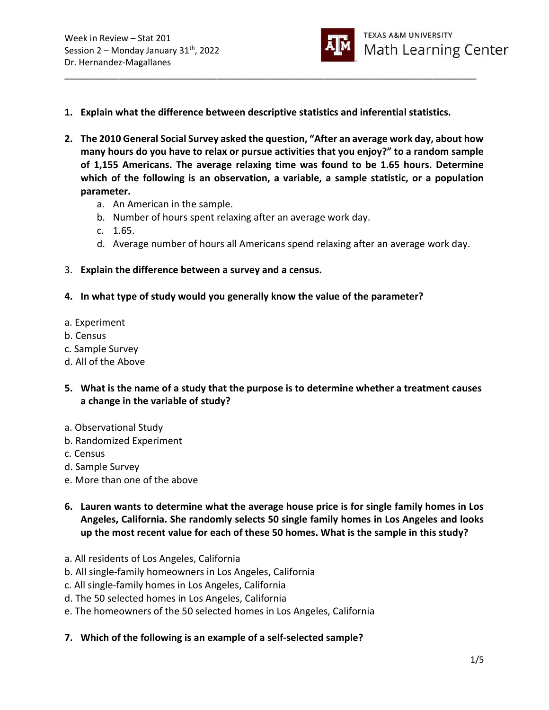

1. Explain what the difference between descriptive statistics and inferential statistics.

\_\_\_\_\_\_\_\_\_\_\_\_\_\_\_\_\_\_\_\_\_\_\_\_\_\_\_\_\_\_\_\_\_\_\_\_\_\_\_\_\_\_\_\_\_\_\_\_\_\_\_\_\_\_\_\_\_\_\_\_\_\_\_\_\_\_\_\_\_\_\_\_\_\_\_\_\_\_\_\_\_\_\_\_

- 2. The 2010 General Social Survey asked the question, "After an average work day, about how many hours do you have to relax or pursue activities that you enjoy?" to a random sample of 1,155 Americans. The average relaxing time was found to be 1.65 hours. Determine which of the following is an observation, a variable, a sample statistic, or a population parameter.
	- a. An American in the sample.
	- b. Number of hours spent relaxing after an average work day.
	- c. 1.65.
	- d. Average number of hours all Americans spend relaxing after an average work day.
- 3. Explain the difference between a survey and a census.
- 4. In what type of study would you generally know the value of the parameter?
- a. Experiment
- b. Census
- c. Sample Survey
- d. All of the Above
- 5. What is the name of a study that the purpose is to determine whether a treatment causes a change in the variable of study?
- a. Observational Study
- b. Randomized Experiment
- c. Census
- d. Sample Survey
- e. More than one of the above
- 6. Lauren wants to determine what the average house price is for single family homes in Los Angeles, California. She randomly selects 50 single family homes in Los Angeles and looks up the most recent value for each of these 50 homes. What is the sample in this study?
- a. All residents of Los Angeles, California
- b. All single-family homeowners in Los Angeles, California
- c. All single-family homes in Los Angeles, California
- d. The 50 selected homes in Los Angeles, California
- e. The homeowners of the 50 selected homes in Los Angeles, California
- 7. Which of the following is an example of a self-selected sample?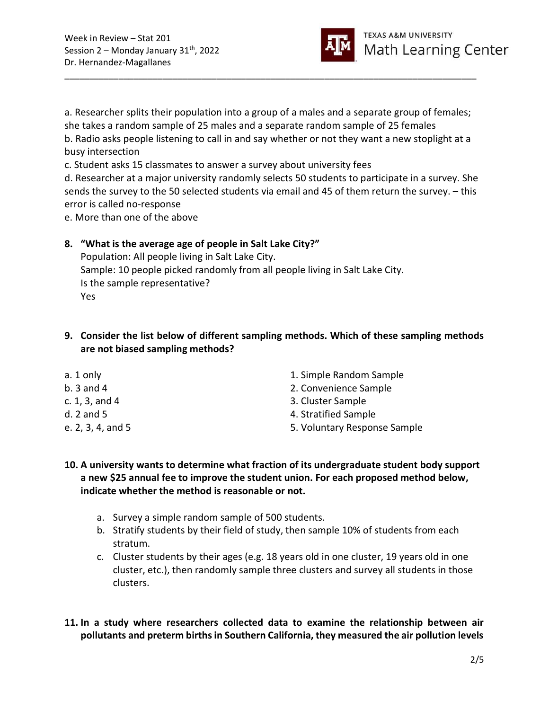

a. Researcher splits their population into a group of a males and a separate group of females; she takes a random sample of 25 males and a separate random sample of 25 females b. Radio asks people listening to call in and say whether or not they want a new stoplight at a busy intersection c. Student asks 15 classmates to answer a survey about university fees

\_\_\_\_\_\_\_\_\_\_\_\_\_\_\_\_\_\_\_\_\_\_\_\_\_\_\_\_\_\_\_\_\_\_\_\_\_\_\_\_\_\_\_\_\_\_\_\_\_\_\_\_\_\_\_\_\_\_\_\_\_\_\_\_\_\_\_\_\_\_\_\_\_\_\_\_\_\_\_\_\_\_\_\_

d. Researcher at a major university randomly selects 50 students to participate in a survey. She sends the survey to the 50 selected students via email and 45 of them return the survey. – this error is called no-response

e. More than one of the above

## 8. "What is the average age of people in Salt Lake City?"

Population: All people living in Salt Lake City. Sample: 10 people picked randomly from all people living in Salt Lake City. Is the sample representative? Yes

## 9. Consider the list below of different sampling methods. Which of these sampling methods are not biased sampling methods?

| 1. Simple Random Sample      |
|------------------------------|
| 2. Convenience Sample        |
| 3. Cluster Sample            |
| 4. Stratified Sample         |
| 5. Voluntary Response Sample |
|                              |

## 10. A university wants to determine what fraction of its undergraduate student body support a new \$25 annual fee to improve the student union. For each proposed method below, indicate whether the method is reasonable or not.

- a. Survey a simple random sample of 500 students.
- b. Stratify students by their field of study, then sample 10% of students from each stratum.
- c. Cluster students by their ages (e.g. 18 years old in one cluster, 19 years old in one cluster, etc.), then randomly sample three clusters and survey all students in those clusters.

11. In a study where researchers collected data to examine the relationship between air pollutants and preterm births in Southern California, they measured the air pollution levels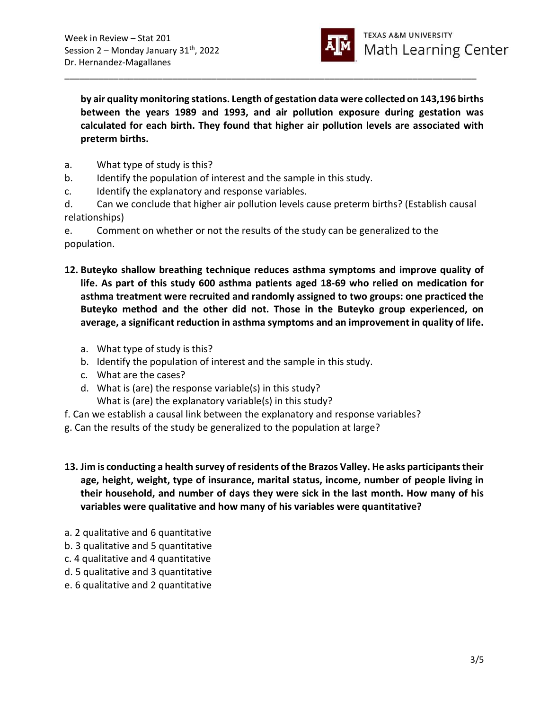

by air quality monitoring stations. Length of gestation data were collected on 143,196 births between the years 1989 and 1993, and air pollution exposure during gestation was calculated for each birth. They found that higher air pollution levels are associated with preterm births.

\_\_\_\_\_\_\_\_\_\_\_\_\_\_\_\_\_\_\_\_\_\_\_\_\_\_\_\_\_\_\_\_\_\_\_\_\_\_\_\_\_\_\_\_\_\_\_\_\_\_\_\_\_\_\_\_\_\_\_\_\_\_\_\_\_\_\_\_\_\_\_\_\_\_\_\_\_\_\_\_\_\_\_\_

- a. What type of study is this?
- b. Identify the population of interest and the sample in this study.
- c. Identify the explanatory and response variables.
- d. Can we conclude that higher air pollution levels cause preterm births? (Establish causal relationships)

e. Comment on whether or not the results of the study can be generalized to the population.

- 12. Buteyko shallow breathing technique reduces asthma symptoms and improve quality of life. As part of this study 600 asthma patients aged 18-69 who relied on medication for asthma treatment were recruited and randomly assigned to two groups: one practiced the Buteyko method and the other did not. Those in the Buteyko group experienced, on average, a significant reduction in asthma symptoms and an improvement in quality of life.
	- a. What type of study is this?
	- b. Identify the population of interest and the sample in this study.
	- c. What are the cases?
	- d. What is (are) the response variable(s) in this study?
	- What is (are) the explanatory variable(s) in this study?
- f. Can we establish a causal link between the explanatory and response variables?
- g. Can the results of the study be generalized to the population at large?
- 13. Jim is conducting a health survey of residents of the Brazos Valley. He asks participants their age, height, weight, type of insurance, marital status, income, number of people living in their household, and number of days they were sick in the last month. How many of his variables were qualitative and how many of his variables were quantitative?
- a. 2 qualitative and 6 quantitative
- b. 3 qualitative and 5 quantitative
- c. 4 qualitative and 4 quantitative
- d. 5 qualitative and 3 quantitative
- e. 6 qualitative and 2 quantitative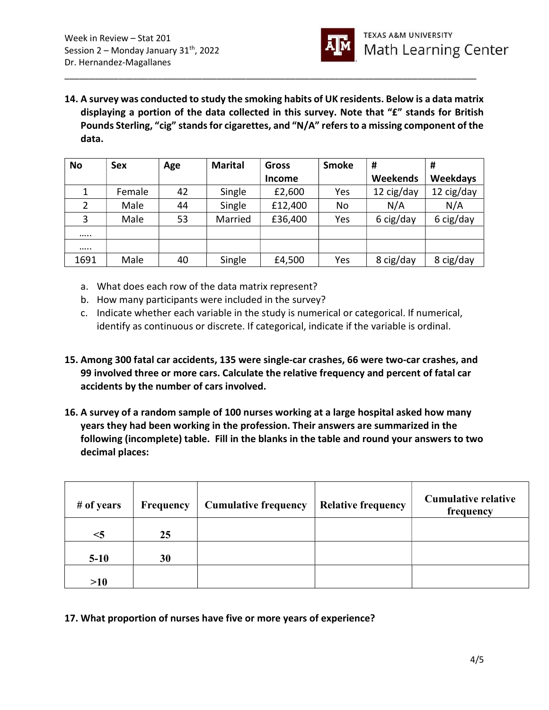

14. A survey was conducted to study the smoking habits of UK residents. Below is a data matrix displaying a portion of the data collected in this survey. Note that "£" stands for British Pounds Sterling, "cig" stands for cigarettes, and "N/A" refers to a missing component of the data.

\_\_\_\_\_\_\_\_\_\_\_\_\_\_\_\_\_\_\_\_\_\_\_\_\_\_\_\_\_\_\_\_\_\_\_\_\_\_\_\_\_\_\_\_\_\_\_\_\_\_\_\_\_\_\_\_\_\_\_\_\_\_\_\_\_\_\_\_\_\_\_\_\_\_\_\_\_\_\_\_\_\_\_\_

| <b>No</b> | Sex    | Age | <b>Marital</b> | <b>Gross</b>  | <b>Smoke</b> | #          | #               |
|-----------|--------|-----|----------------|---------------|--------------|------------|-----------------|
|           |        |     |                | <b>Income</b> |              | Weekends   | <b>Weekdays</b> |
|           | Female | 42  | Single         | £2,600        | Yes          | 12 cig/day | 12 cig/day      |
| 2         | Male   | 44  | Single         | £12,400       | No           | N/A        | N/A             |
| 3         | Male   | 53  | Married        | £36,400       | Yes          | 6 cig/day  | 6 cig/day       |
|           |        |     |                |               |              |            |                 |
|           |        |     |                |               |              |            |                 |
| 1691      | Male   | 40  | Single         | £4,500        | Yes          | 8 cig/day  | 8 cig/day       |

- a. What does each row of the data matrix represent?
- b. How many participants were included in the survey?
- c. Indicate whether each variable in the study is numerical or categorical. If numerical, identify as continuous or discrete. If categorical, indicate if the variable is ordinal.
- 15. Among 300 fatal car accidents, 135 were single-car crashes, 66 were two-car crashes, and 99 involved three or more cars. Calculate the relative frequency and percent of fatal car accidents by the number of cars involved.
- 16. A survey of a random sample of 100 nurses working at a large hospital asked how many years they had been working in the profession. Their answers are summarized in the following (incomplete) table. Fill in the blanks in the table and round your answers to two decimal places:

| # of years | <b>Frequency</b> | <b>Cumulative frequency</b> | <b>Relative frequency</b> | <b>Cumulative relative</b><br>frequency |
|------------|------------------|-----------------------------|---------------------------|-----------------------------------------|
| $<$ 5      | 25               |                             |                           |                                         |
| $5-10$     | 30               |                             |                           |                                         |
| >10        |                  |                             |                           |                                         |

17. What proportion of nurses have five or more years of experience?